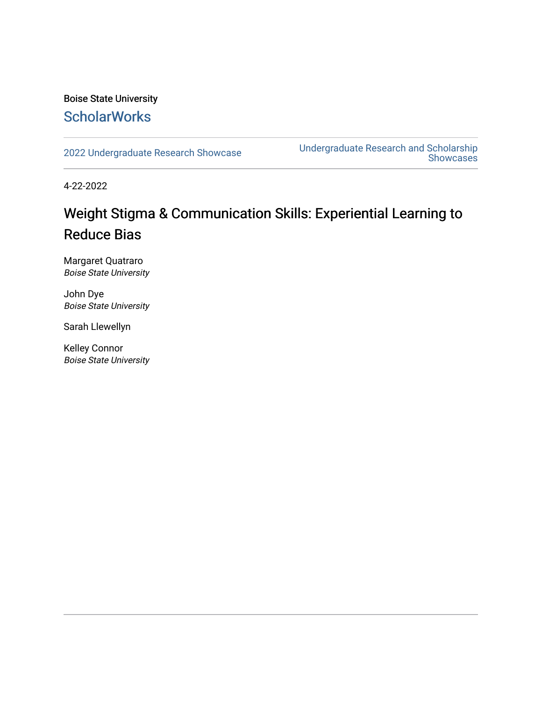### Boise State University **ScholarWorks**

[2022 Undergraduate Research Showcase](https://scholarworks.boisestate.edu/under_showcase_2022) [Undergraduate Research and Scholarship](https://scholarworks.boisestate.edu/under_conference)  Showcases

4-22-2022

### Weight Stigma & Communication Skills: Experiential Learning to Reduce Bias

Margaret Quatraro Boise State University

John Dye Boise State University

Sarah Llewellyn

Kelley Connor Boise State University